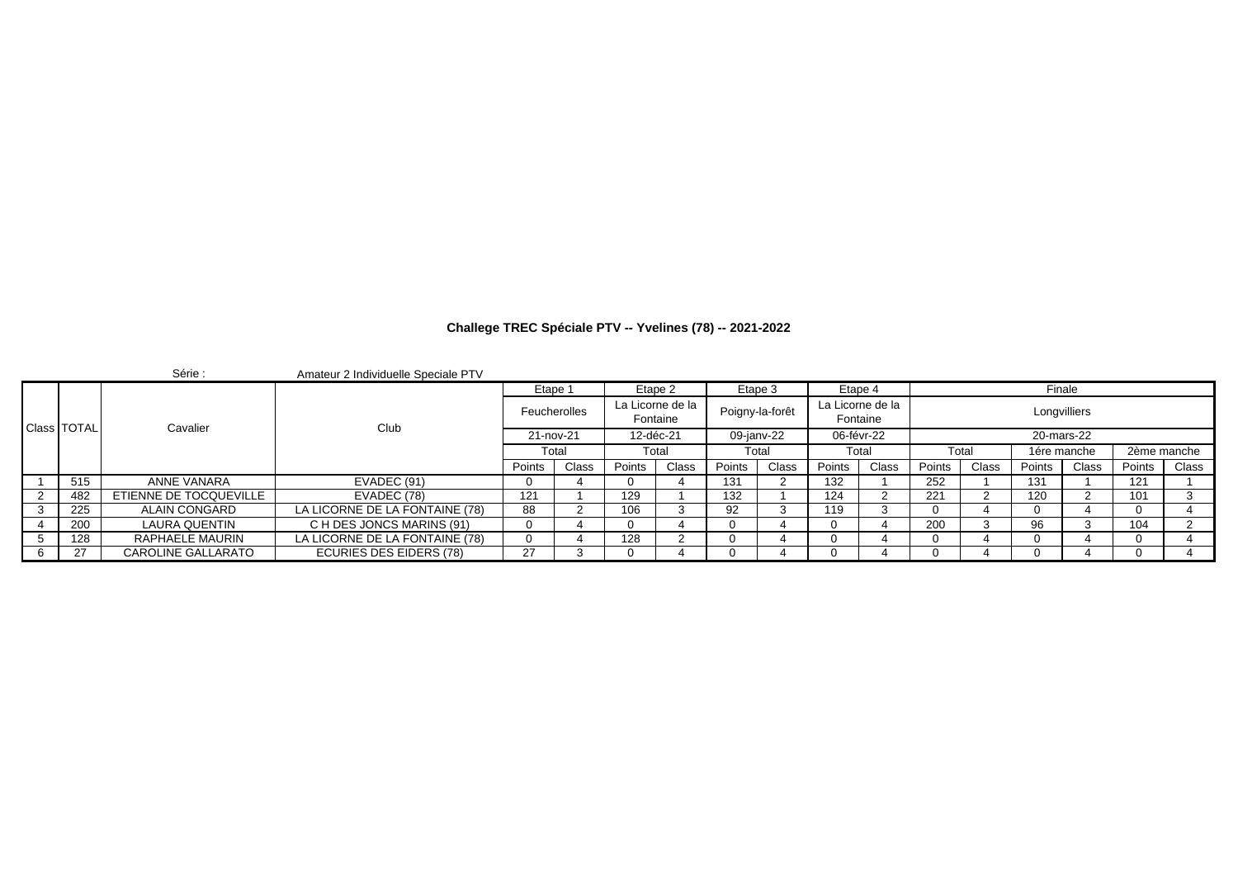|   |               | Série :                | Amateur 2 Individuelle Speciale PTV |        |              |        |                              |         |                 |          |                  |               |       |             |              |             |       |
|---|---------------|------------------------|-------------------------------------|--------|--------------|--------|------------------------------|---------|-----------------|----------|------------------|---------------|-------|-------------|--------------|-------------|-------|
|   |               |                        |                                     |        | Etape 1      |        | Etape 2                      | Etape 3 |                 | Etape 4  |                  |               |       | Finale      |              |             |       |
|   | Class   TOTAL | Cavalier               | Club                                |        | Feucherolles |        | La Licorne de la<br>Fontaine |         | Poigny-la-forêt | Fontaine | La Licorne de la |               |       |             | Longvilliers |             |       |
|   |               |                        |                                     |        | 21-nov-21    |        | 12-déc-21                    |         | 09-janv-22      |          | 06-févr-22       |               |       |             | 20-mars-22   |             |       |
|   |               |                        |                                     |        | Total        |        | Total                        |         | Total           | Total    |                  | Total         |       | 1ére manche |              | 2ème manche |       |
|   |               |                        |                                     | Points | Class        | Points | Class                        | Points  | Class           | Points   | <b>Class</b>     | <b>Points</b> | Class | Points      | Class        | Points      | Class |
|   | 515           | ANNE VANARA            | EVADEC (91)                         |        |              |        |                              | 131     |                 | 132      |                  | 252           |       | 131         |              | 121         |       |
|   | 482           | ETIENNE DE TOCQUEVILLE | EVADEC (78)                         | 121    |              | 129    |                              | 132     |                 | 124      |                  | 221           |       | 120         |              | 101         |       |
|   | 225           | ALAIN CONGARD          | LA LICORNE DE LA FONTAINE (78)      | 88     |              | 106    |                              | 92      |                 | 119      |                  |               |       |             |              |             |       |
|   | 200           | LAURA QUENTIN          | C H DES JONCS MARINS (91)           |        |              | 0      |                              |         |                 |          |                  | 200           |       | 96          |              | 104         |       |
|   | 128           | RAPHAELE MAURIN        | LA LICORNE DE LA FONTAINE (78)      |        |              | 128    |                              |         |                 |          |                  |               |       |             |              |             |       |
| 6 | 27            | CAROLINE GALLARATO     | ECURIES DES EIDERS (78)             | 27     |              |        |                              |         |                 |          |                  |               |       |             |              |             |       |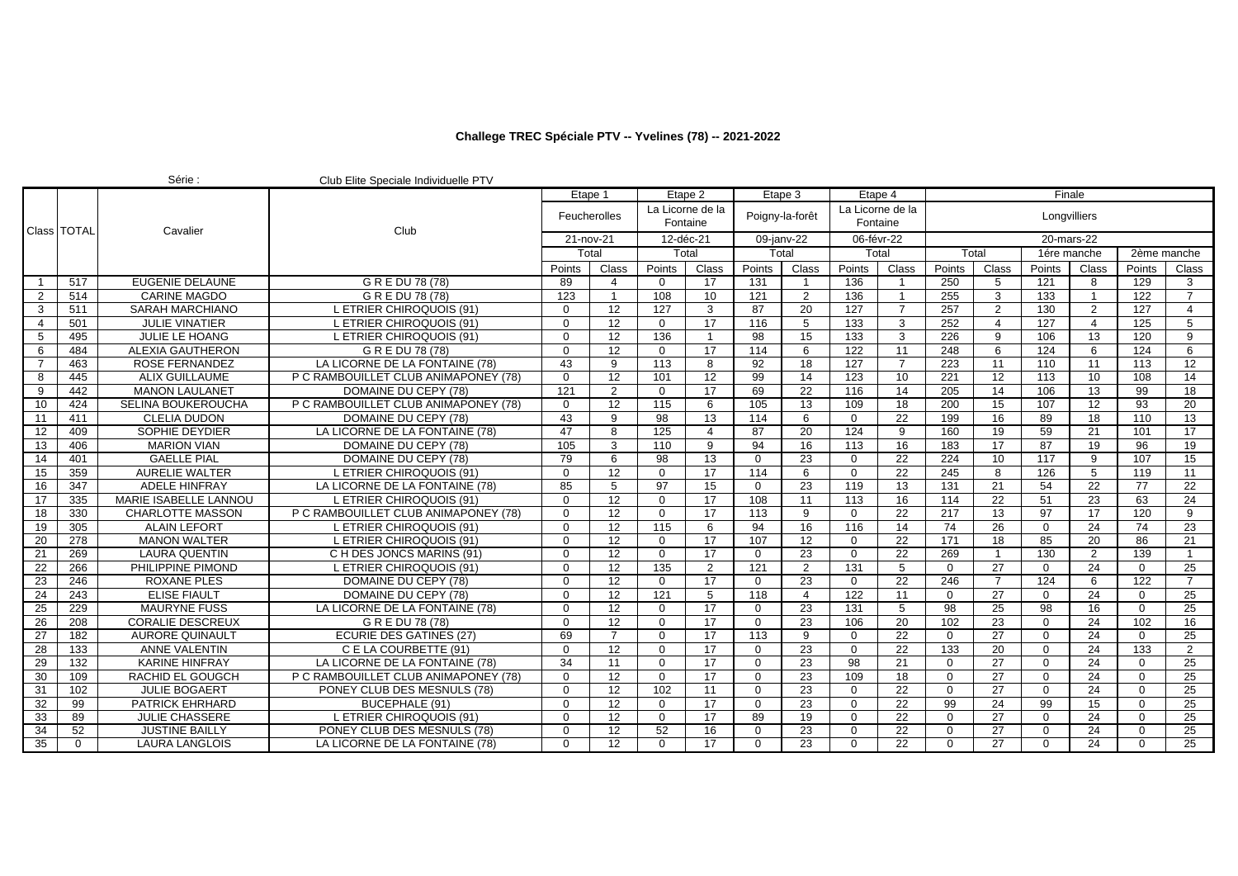|                 |               | Série :                 | Club Elite Speciale Individuelle PTV |           |                     |                  |                              |                  |                 |                  |                              |                |                 |                  |                 |                  |                 |
|-----------------|---------------|-------------------------|--------------------------------------|-----------|---------------------|------------------|------------------------------|------------------|-----------------|------------------|------------------------------|----------------|-----------------|------------------|-----------------|------------------|-----------------|
|                 |               |                         | Etape 1                              |           |                     | Etape 2          |                              | Etape 3          |                 | Etape 4          |                              |                |                 | Finale           |                 |                  |                 |
|                 | Class   TOTAL |                         | Club                                 |           | <b>Feucherolles</b> |                  | La Licorne de la<br>Fontaine | Poigny-la-forêt  |                 |                  | La Licorne de la<br>Fontaine |                |                 |                  | Longvilliers    |                  |                 |
|                 |               | Cavalier                |                                      | 21-nov-21 |                     | 12-déc-21        |                              | 09-janv-22       |                 |                  | 06-févr-22                   |                |                 |                  | 20-mars-22      |                  |                 |
|                 |               |                         |                                      |           | Total               |                  | Total                        | Total            |                 |                  | Total                        |                | Total           |                  | 1ére manche     | 2ème manche      |                 |
|                 |               |                         |                                      | Points    | Class               | Points           | Class                        | Points           | Class           | Points           | Class                        | Points         | Class           | Points           | Class           | Points           | Class           |
| $\mathbf{1}$    | 517           | <b>EUGENIE DELAUNE</b>  | G R E DU 78 (78)                     | 89        | 4                   | $\Omega$         | 17                           | 131              | $\mathbf{1}$    | 136              |                              | 250            | -5              | 121              | 8               | 129              | 3               |
| $\overline{2}$  | 514           | <b>CARINE MAGDO</b>     | G R E DU 78 (78)                     | 123       | $\mathbf{1}$        | 108              | 10                           | 121              | $\overline{2}$  | 136              | $\overline{1}$               | 255            | 3               | 133              | $\overline{1}$  | $\overline{122}$ | $\overline{7}$  |
| 3               | 511           | SARAH MARCHIANO         | <b>ETRIER CHIROQUOIS (91)</b>        | 0         | 12                  | 127              | 3                            | 87               | 20              | 127              | $\overline{7}$               | 257            | $\overline{2}$  | 130              | 2               | 127              | $\overline{4}$  |
| 4               | 501           | <b>JULIE VINATIER</b>   | L ETRIER CHIROQUOIS (91)             | $\Omega$  | 12                  | $\Omega$         | 17                           | 116              | 5               | 133              | 3                            | 252            | $\overline{4}$  | 127              | $\overline{4}$  | 125              | 5               |
| 5               | 495           | <b>JULIE LE HOANG</b>   | L ETRIER CHIROQUOIS (91)             | $\Omega$  | 12                  | 136              | $\overline{1}$               | 98               | $\overline{15}$ | 133              | 3                            | 226            | 9               | 106              | 13              | 120              | 9               |
| 6               | 484           | <b>ALEXIA GAUTHERON</b> | G R E DU 78 (78)                     | $\Omega$  | 12                  | $\mathbf 0$      | 17                           | 114              | 6               | 122              | 11                           | 248            | 6               | 124              | -6              | 124              | 6               |
| $\overline{7}$  | 463           | ROSE FERNANDEZ          | LA LICORNE DE LA FONTAINE (78)       | 43        | 9                   | 113              | 8                            | 92               | 18              | 127              | $\overline{7}$               | 223            | 11              | 110              | 11              | 113              | 12              |
| 8               | 445           | <b>ALIX GUILLAUME</b>   | P C RAMBOUILLET CLUB ANIMAPONEY (78) | $\Omega$  | $\overline{12}$     | 101              | 12                           | 99               | 14              | $\overline{123}$ | 10                           | 221            | 12              | $\overline{113}$ | 10              | 108              | 14              |
| 9               | 442           | <b>MANON LAULANET</b>   | DOMAINE DU CEPY (78)                 | 121       | $\overline{2}$      | $\mathbf 0$      | 17                           | 69               | $\overline{22}$ | 116              | 14                           | 205            | 14              | 106              | 13              | 99               | 18              |
| 10              | 424           | SELINA BOUKEROUCHA      | P C RAMBOUILLET CLUB ANIMAPONEY (78) | $\Omega$  | 12                  | 115              | 6                            | 105              | 13              | 109              | 18                           | 200            | 15              | 107              | 12              | 93               | 20              |
| 11              | 411           | <b>CLELIA DUDON</b>     | DOMAINE DU CEPY (78)                 | 43        | 9                   | 98               | $\overline{13}$              | 114              | 6               | $\mathbf 0$      | 22                           | 199            | 16              | 89               | 18              | 110              | 13              |
| 12              | 409           | SOPHIE DEYDIER          | LA LICORNE DE LA FONTAINE (78)       | 47        | 8                   | 125              | 4                            | 87               | 20              | 124              | 9                            | 160            | 19              | 59               | 21              | 101              | 17              |
| 13              | 406           | <b>MARION VIAN</b>      | DOMAINE DU CEPY (78)                 | 105       | 3                   | 110              | 9                            | 94               | $\overline{16}$ | 113              | 16                           | 183            | 17              | 87               | 19              | 96               | $\overline{19}$ |
| $\overline{14}$ | 401           | <b>GAELLE PIAL</b>      | DOMAINE DU CEPY (78)                 | 79        | 6                   | 98               | 13                           | $\Omega$         | 23              | $\mathbf 0$      | 22                           | 224            | 10              | $\overline{117}$ | 9               | 107              | 15              |
| 15              | 359           | <b>AURELIE WALTER</b>   | . ETRIER CHIROQUOIS (91)             | $\Omega$  | $\overline{12}$     | $\Omega$         | 17                           | 114              | 6               | $\Omega$         | 22                           | 245            | 8               | 126              | 5               | 119              | 11              |
| 16              | 347           | <b>ADELE HINFRAY</b>    | LA LICORNE DE LA FONTAINE (78)       | 85        | 5                   | $\overline{97}$  | 15                           | $\Omega$         | 23              | 119              | 13                           | 131            | $\overline{21}$ | 54               | $\overline{22}$ | 77               | $\overline{22}$ |
| 17              | 335           | MARIE ISABELLE LANNOU   | <b>ETRIER CHIROQUOIS (91)</b>        | $\Omega$  | 12                  | $\Omega$         | $\overline{17}$              | 108              | 11              | 113              | 16                           | 114            | 22              | 51               | 23              | 63               | $\overline{24}$ |
| 18              | 330           | <b>CHARLOTTE MASSON</b> | P C RAMBOUILLET CLUB ANIMAPONEY (78) | $\Omega$  | 12                  | $\Omega$         | 17                           | 113              | 9               | $\mathbf 0$      | 22                           | 217            | 13              | 97               | 17              | 120              | 9               |
| 19              | 305           | <b>ALAIN LEFORT</b>     | . ETRIER CHIROQUOIS (91)             | $\Omega$  | 12                  | $\overline{115}$ | 6                            | 94               | $\overline{16}$ | 116              | 14                           | 74             | 26              | $\Omega$         | 24              | $\overline{74}$  | $\overline{23}$ |
| 20              | 278           | <b>MANON WALTER</b>     | L ETRIER CHIROQUOIS (91)             | $\Omega$  | 12                  | $\Omega$         | 17                           | 107              | 12              | $\mathbf 0$      | 22                           | 171            | 18              | 85               | 20              | 86               | 21              |
| 21              | 269           | <b>LAURA QUENTIN</b>    | C H DES JONCS MARINS (91)            | $\Omega$  | 12                  | $\Omega$         | 17                           | $\Omega$         | 23              | $\Omega$         | 22                           | 269            | $\overline{1}$  | 130              | 2               | 139              | $\overline{1}$  |
| 22              | 266           | PHILIPPINE PIMOND       | <b>ETRIER CHIROQUOIS (91)</b>        | $\Omega$  | 12                  | $\overline{135}$ | 2                            | 121              | $\overline{2}$  | 131              | 5                            | $\overline{0}$ | 27              | $\Omega$         | 24              | $\Omega$         | 25              |
| 23              | 246           | <b>ROXANE PLES</b>      | DOMAINE DU CEPY (78)                 | $\Omega$  | 12                  | $\Omega$         | 17                           | $\Omega$         | 23              | $\Omega$         | 22                           | 246            | $\overline{7}$  | 124              | 6               | 122              | $\overline{7}$  |
| 24              | 243           | <b>ELISE FIAULT</b>     | DOMAINE DU CEPY (78)                 | $\Omega$  | $\overline{12}$     | 121              | 5                            | $\overline{118}$ | $\overline{4}$  | $\overline{122}$ | 11                           | $\Omega$       | 27              | $\Omega$         | 24              | $\Omega$         | 25              |
| 25              | 229           | <b>MAURYNE FUSS</b>     | LA LICORNE DE LA FONTAINE (78)       | 0         | 12                  | $\mathbf 0$      | $\overline{17}$              | $\mathbf 0$      | 23              | 131              | 5                            | 98             | 25              | 98               | 16              | $\mathbf 0$      | 25              |
| 26              | 208           | <b>CORALIE DESCREUX</b> | G R E DU 78 (78)                     | $\Omega$  | 12                  | $\Omega$         | 17                           | $\Omega$         | 23              | 106              | 20                           | 102            | 23              | $\Omega$         | 24              | 102              | 16              |
| 27              | 182           | <b>AURORE QUINAULT</b>  | <b>ECURIE DES GATINES (27)</b>       | 69        | $\overline{7}$      | $\Omega$         | $\overline{17}$              | 113              | 9               | $\mathbf 0$      | 22                           | $\Omega$       | 27              | $\Omega$         | 24              | $\Omega$         | 25              |
| 28              | 133           | <b>ANNE VALENTIN</b>    | C E LA COURBETTE (91)                | $\Omega$  | $\overline{12}$     | $\Omega$         | 17                           | $\Omega$         | 23              | $\mathbf 0$      | 22                           | 133            | 20              | $\Omega$         | 24              | $\overline{133}$ | $\overline{2}$  |
| 29              | 132           | <b>KARINE HINFRAY</b>   | LA LICORNE DE LA FONTAINE (78)       | 34        | 11                  | $\Omega$         | 17                           | $\Omega$         | 23              | 98               | 21                           | $\mathbf 0$    | 27              | $\mathbf{0}$     | 24              | $\Omega$         | 25              |
| 30              | 109           | RACHID EL GOUGCH        | P C RAMBOUILLET CLUB ANIMAPONEY (78) | $\Omega$  | 12                  | $\Omega$         | $\overline{17}$              | $\Omega$         | 23              | 109              | 18                           | $\mathbf 0$    | 27              | $\mathbf 0$      | 24              | $\Omega$         | 25              |
| 31              | 102           | <b>JULIE BOGAERT</b>    | PONEY CLUB DES MESNULS (78)          | 0         | 12                  | 102              | 11                           | $\mathbf 0$      | 23              | $\mathbf 0$      | 22                           | $\overline{0}$ | 27              | $\Omega$         | 24              | $\Omega$         | 25              |
| 32              | 99            | <b>PATRICK EHRHARD</b>  | BUCEPHALE (91)                       | $\Omega$  | 12                  | $\Omega$         | 17                           | $\Omega$         | 23              | $\Omega$         | 22                           | 99             | 24              | 99               | 15              | $\Omega$         | 25              |
| 33              | 89            | <b>JULIE CHASSERE</b>   | <b>ETRIER CHIROQUOIS (91)</b>        | $\Omega$  | 12                  | $\mathbf 0$      | $\overline{17}$              | 89               | 19              | $\mathbf 0$      | 22                           | $\mathbf 0$    | 27              | $\mathbf 0$      | 24              | $\Omega$         | $\overline{25}$ |
| 34              | 52            | <b>JUSTINE BAILLY</b>   | PONEY CLUB DES MESNULS (78)          | $\Omega$  | 12                  | 52               | 16                           | $\Omega$         | 23              | $\Omega$         | 22                           | $\Omega$       | 27              | $\Omega$         | 24              | $\Omega$         | 25              |
| 35              | $\Omega$      | <b>LAURA LANGLOIS</b>   | LA LICORNE DE LA FONTAINE (78)       | $\Omega$  | 12                  | $\Omega$         | 17                           | $\Omega$         | 23              | $\Omega$         | 22                           | $\Omega$       | 27              | $\Omega$         | 24              | $\Omega$         | 25              |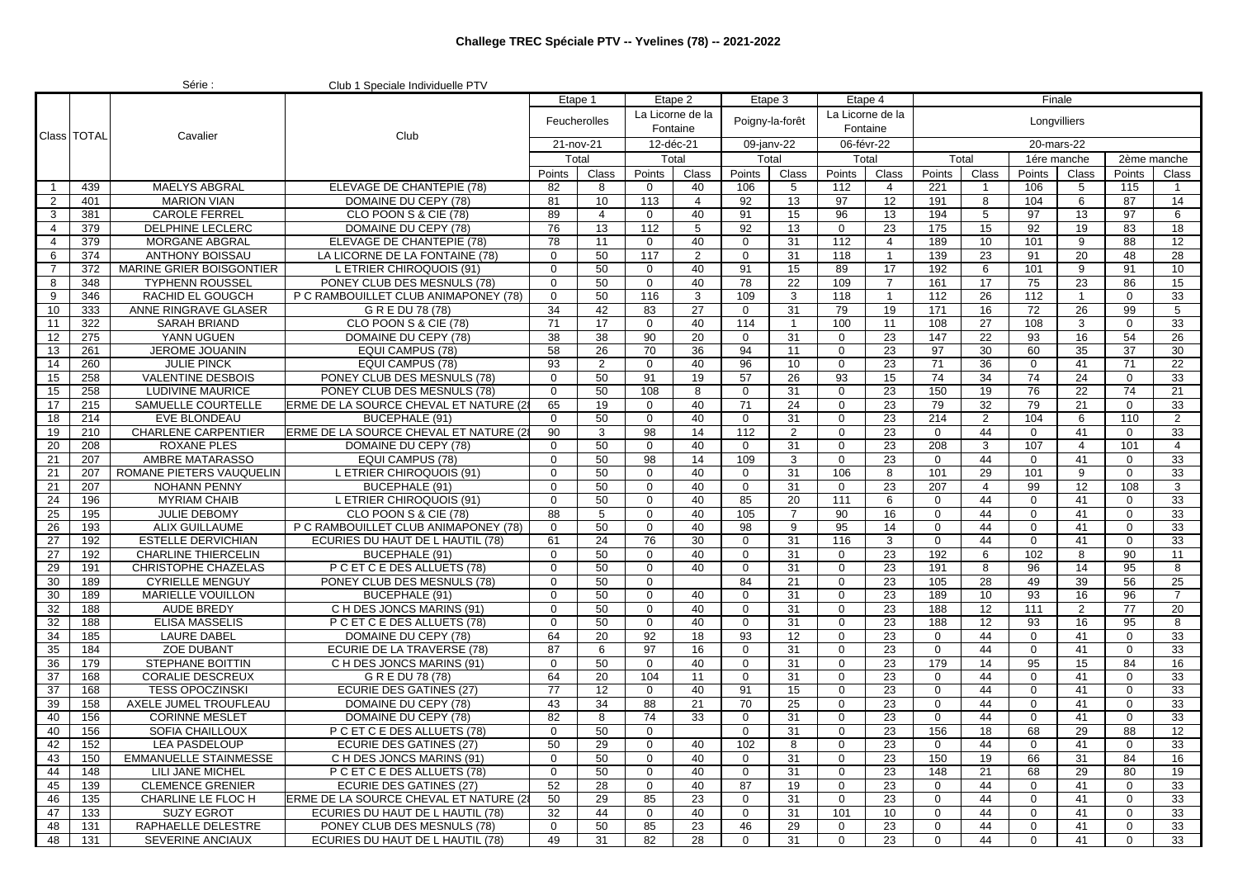|                 |               | Série :                                         | Club 1 Speciale Individuelle PTV                                           |                 |                |                            |                              |                  |                |                  |                  |                            |                 |                  |                 |             |                 |
|-----------------|---------------|-------------------------------------------------|----------------------------------------------------------------------------|-----------------|----------------|----------------------------|------------------------------|------------------|----------------|------------------|------------------|----------------------------|-----------------|------------------|-----------------|-------------|-----------------|
|                 |               |                                                 | Etape 1                                                                    |                 | Etape 2        |                            |                              | Etape 3          | Etape 4        |                  |                  |                            | Finale          |                  |                 |             |                 |
|                 |               |                                                 |                                                                            |                 | Feucherolles   |                            | La Licorne de la<br>Fontaine | Poigny-la-forêt  |                | Fontaine         | La Licorne de la |                            |                 | Longvilliers     |                 |             |                 |
|                 | Class   TOTAL | Cavalier                                        | Club                                                                       | 21-nov-21       |                | 12-déc-21                  |                              | 09-janv-22       |                | 06-févr-22       |                  |                            |                 | 20-mars-22       |                 |             |                 |
|                 |               |                                                 |                                                                            |                 | Total          | Total                      |                              | Total            |                | Total            |                  | Total                      |                 | 1ére manche      |                 | 2ème manche |                 |
|                 |               |                                                 |                                                                            | Points          | Class          | Points                     | Class                        | Points           | Class          | Points           | Class            | Points                     | Class           | Points           | Class           | Points      | Class           |
| $\mathbf{1}$    | 439           | <b>MAELYS ABGRAL</b>                            | ELEVAGE DE CHANTEPIE (78)                                                  | 82              | 8              | $\mathbf 0$                | 40                           | 106              | 5              | 112              | $\overline{4}$   | 221                        |                 | 106              | 5               | 115         | $\mathbf{1}$    |
| $\overline{2}$  | 401           | <b>MARION VIAN</b>                              | DOMAINE DU CEPY (78)                                                       | 81              | 10             | 113                        | $\overline{4}$               | 92               | 13             | 97               | 12               | 191                        | 8               | 104              | 6               | 87          | 14              |
| 3               | 381           | <b>CAROLE FERREL</b>                            | CLO POON S & CIE (78)                                                      | 89              | $\overline{4}$ | $\mathbf{0}$               | 40                           | 91               | 15             | 96               | 13               | 194                        | 5               | 97               | 13              | 97          | 6               |
| $\overline{4}$  | 379           | DELPHINE LECLERC                                | DOMAINE DU CEPY (78)                                                       | 76              | 13             | 112                        | 5                            | 92               | 13             | 0                | 23               | 175                        | 15              | 92               | 19              | 83          | 18              |
| $\overline{4}$  | 379           | <b>MORGANE ABGRAL</b>                           | ELEVAGE DE CHANTEPIE (78)                                                  | 78              | 11             | $\mathbf 0$                | 40                           | 0                | 31             | 112              | $\overline{4}$   | 189                        | 10              | 101              | 9               | 88          | 12              |
| 6               | 374           | <b>ANTHONY BOISSAU</b>                          | LA LICORNE DE LA FONTAINE (78)                                             | $\mathbf 0$     | 50             | 117                        | $\overline{2}$               | $\mathbf 0$      | 31             | 118              | -1               | 139                        | 23              | 91               | 20              | 48          | 28              |
| $\overline{7}$  | 372           | MARINE GRIER BOISGONTIER                        | <b>ETRIER CHIROQUOIS (91)</b>                                              | $\Omega$        | 50             | $\mathbf 0$                | 40                           | 91               | 15             | 89               | 17               | 192                        | 6               | 101              | 9               | 91          | 10              |
| 8               | 348           | <b>TYPHENN ROUSSEL</b>                          | PONEY CLUB DES MESNULS (78)                                                | $\mathbf 0$     | 50             | $\mathbf 0$                | 40                           | 78               | 22             | 109              | $\overline{7}$   | 161                        | $\overline{17}$ | 75               | $\overline{23}$ | 86          | 15              |
| 9               | 346           | <b>RACHID EL GOUGCH</b>                         | P C RAMBOUILLET CLUB ANIMAPONEY (78)                                       | $\mathbf 0$     | 50             | 116                        | 3                            | 109              | 3              | 118              | $\overline{1}$   | 112                        | 26              | 112              |                 | 0           | 33              |
| 10              | 333           | ANNE RINGRAVE GLASER                            | G R E DU 78 (78)                                                           | 34              | 42             | 83                         | 27                           | $\mathbf 0$      | 31             | 79               | 19               | 171                        | 16              | 72               | 26              | 99          | 5               |
| 11              | 322           | <b>SARAH BRIAND</b>                             | CLO POON S & CIE (78)                                                      | 71              | 17             | $\mathbf{0}$               | 40                           | 114              | $\overline{1}$ | 100              | 11               | 108                        | 27              | 108              | 3               | $\mathbf 0$ | 33              |
| 12              | 275           | YANN UGUEN                                      | DOMAINE DU CEPY (78)                                                       | 38              | 38             | 90                         | 20                           | $\mathbf 0$      | 31             | 0                | 23               | 147                        | 22              | 93               | 16              | 54          | 26              |
| 13              | 261           | JEROME JOUANIN                                  | EQUI CAMPUS (78)                                                           | 58              | 26             | 70                         | 36                           | 94               | 11             | $\mathbf 0$      | 23               | 97                         | 30              | 60               | 35              | 37          | 30              |
| $\overline{14}$ | 260           | <b>JULIE PINCK</b>                              | <b>EQUI CAMPUS (78)</b>                                                    | $\overline{93}$ | $\overline{2}$ | $\mathbf{0}$               | 40                           | 96               | 10             | $\mathbf 0$      | $\overline{23}$  | $\overline{71}$            | $\overline{36}$ | $\mathbf{0}$     | 41              | 71          | $\overline{22}$ |
| 15              | 258           | <b>VALENTINE DESBOIS</b>                        | PONEY CLUB DES MESNULS (78)                                                | $\Omega$        | 50             | 91                         | 19                           | 57               | 26             | 93               | 15               | 74                         | 34              | 74               | 24              | $\mathbf 0$ | 33              |
| 15              | 258           | LUDIVINE MAURICE                                | PONEY CLUB DES MESNULS (78)                                                | $\mathbf 0$     | 50             | 108                        | 8                            | $\mathbf 0$      | 31             | 0                | 23               | 150                        | 19              | 76               | 22              | 74          | 21              |
| 17              | 215           | SAMUELLE COURTELLE                              | ERME DE LA SOURCE CHEVAL ET NATURE (28                                     | 65              | 19             | $\mathbf 0$                | 40                           | 71               | 24             | 0                | 23               | 79                         | 32              | 79               | 21              | $\mathbf 0$ | 33              |
| 18              | 214           | <b>EVE BLONDEAU</b>                             | <b>BUCEPHALE (91)</b>                                                      | 0               | 50             | $\mathbf 0$                | 40                           | $\mathbf 0$      | 31             | 0                | 23               | 214                        | $\overline{2}$  | 104              | 6               | 110         | $\overline{2}$  |
| 19              | 210           | <b>CHARLENE CARPENTIER</b>                      | ERME DE LA SOURCE CHEVAL ET NATURE (2)                                     | 90              | 3              | 98                         | 14                           | 112              | $\overline{2}$ | 0                | 23               | $\mathbf 0$                | 44              | $\Omega$         | 41              | 0           | 33              |
| 20              | 208           | <b>ROXANE PLES</b>                              | DOMAINE DU CEPY (78)                                                       | 0<br>$\Omega$   | 50             | $\mathbf 0$                | 40                           | $\mathbf 0$      | 31             | 0<br>$\Omega$    | 23               | 208<br>$\Omega$            | 3               | 107<br>$\Omega$  | $\overline{4}$  | 101         | $\overline{4}$  |
| 21              | 207           | AMBRE MATARASSO                                 | EQUI CAMPUS (78)                                                           | $\mathbf 0$     | 50<br>50       | 98                         | 14<br>40                     | 109              | 3              |                  | 23               | 101                        | 44<br>29        | 101              | 41<br>9         | 0           | 33<br>33        |
| 21<br>21        | 207<br>207    | ROMANE PIETERS VAUQUELIN<br><b>NOHANN PENNY</b> | L ETRIER CHIROQUOIS (91)<br>BUCEPHALE (91)                                 | $\mathbf 0$     | 50             | $\mathbf 0$<br>$\mathbf 0$ | 40                           | $\mathbf 0$      | 31<br>31       | 106              | 8<br>23          | 207                        | $\overline{4}$  | 99               | 12              | 0<br>108    | 3               |
| 24              | 196           | <b>MYRIAM CHAIB</b>                             | L ETRIER CHIROQUOIS (91)                                                   | $\mathbf 0$     | 50             | $\mathbf 0$                | 40                           | 0<br>85          | 20             | 0<br>111         | 6                | $\mathbf 0$                | 44              | $\mathbf{0}$     | 41              | $\mathbf 0$ | 33              |
| 25              | 195           | JULIE DEBOMY                                    | CLO POON S & CIE (78)                                                      | 88              | 5              | $\mathbf 0$                | 40                           | 105              | $\overline{7}$ | 90               | 16               | $\mathbf 0$                | 44              | $\overline{0}$   | 41              | 0           | 33              |
| 26              | 193           | <b>ALIX GUILLAUME</b>                           | P C RAMBOUILLET CLUB ANIMAPONEY (78)                                       | $\Omega$        | 50             | $\mathbf 0$                | 40                           | 98               | 9              | 95               | 14               | $\mathbf 0$                | 44              | $\mathbf 0$      | 41              | $\mathbf 0$ | 33              |
| 27              | 192           | <b>ESTELLE DERVICHIAN</b>                       | ECURIES DU HAUT DE L HAUTIL (78)                                           | 61              | 24             | 76                         | 30                           | $\mathbf 0$      | 31             | 116              | 3                | $\mathbf 0$                | 44              | $\mathbf 0$      | 41              | 0           | 33              |
| 27              | 192           | <b>CHARLINE THIERCELIN</b>                      | BUCEPHALE (91)                                                             | $\Omega$        | 50             | $\mathbf 0$                | 40                           | $\mathbf 0$      | 31             | $\mathbf 0$      | 23               | 192                        | 6               | 102              | 8               | 90          | 11              |
| 29              | 191           | CHRISTOPHE CHAZELAS                             | P C ET C E DES ALLUETS (78)                                                | $\Omega$        | 50             | $\mathbf 0$                | 40                           | $\mathbf 0$      | 31             | 0                | 23               | 191                        | 8               | 96               | 14              | 95          | 8               |
| 30              | 189           | <b>CYRIELLE MENGUY</b>                          | PONEY CLUB DES MESNULS (78)                                                | $\mathbf 0$     | 50             | $\mathbf{0}$               |                              | 84               | 21             | 0                | 23               | 105                        | 28              | 49               | 39              | 56          | 25              |
| 30              | 189           | <b>MARIELLE VOUILLON</b>                        | BUCEPHALE (91)                                                             | $\mathbf 0$     | 50             | $\mathbf 0$                | 40                           | $\mathbf 0$      | 31             | 0                | 23               | 189                        | 10 <sup>1</sup> | 93               | 16              | 96          | $\overline{7}$  |
| 32              | 188           | <b>AUDE BREDY</b>                               | C H DES JONCS MARINS (91)                                                  | $\Omega$        | 50             | $\Omega$                   | 40                           | $\Omega$         | 31             | $\Omega$         | 23               | 188                        | 12              | 111              | 2               | 77          | 20              |
| 32              | 188           | <b>ELISA MASSELIS</b>                           | P C ET C E DES ALLUETS (78)                                                | $\mathbf 0$     | 50             | $\mathbf 0$                | 40                           | $\mathbf 0$      | 31             | 0                | 23               | 188                        | 12              | 93               | 16              | 95          | 8               |
| 34              | 185           | <b>LAURE DABEL</b>                              | DOMAINE DU CEPY (78)                                                       | 64              | 20             | 92                         | 18                           | 93               | 12             | $\mathbf 0$      | 23               | $\mathbf 0$                | 44              | $\Omega$         | 41              | $\mathbf 0$ | 33              |
| 35              | 184           | <b>ZOE DUBANT</b>                               | <b>ECURIE DE LA TRAVERSE (78)</b>                                          | 87              | 6              | 97                         | 16                           | 0                | 31             | 0                | 23               | $\mathbf 0$                | 44              | $\Omega$         | 41              | $\mathbf 0$ | 33              |
| 36              | 179           | STEPHANE BOITTIN                                | C H DES JONCS MARINS (91)                                                  | $\mathbf 0$     | 50             | $\mathbf 0$                | 40                           | $\mathbf 0$      | 31             | 0                | 23               | 179                        | 14              | 95               | 15              | 84          | 16              |
| 37              | 168           | <b>CORALIE DESCREUX</b>                         | G R E DU 78 (78)                                                           | 64              | 20             | 104                        | 11                           | $\mathbf 0$      | 31             | 0                | 23               | $\mathbf 0$                | 44              | 0                | 41              | 0           | 33              |
| 37              | 168           | <b>TESS OPOCZINSKI</b>                          | ECURIE DES GATINES (27)                                                    | 77              | 12             | $\mathbf 0$                | 40                           | 91               | 15             | $\mathbf 0$      | 23               | $\mathbf 0$                | 44              | $\Omega$         | 41              | $\mathbf 0$ | 33              |
| 39              | 158           | AXELE JUMEL TROUFLEAU                           | DOMAINE DU CEPY (78)                                                       | 43              | 34             | 88                         | 21                           | 70               | 25             | 0                | 23               | $\mathbf 0$                | 44              | $\mathbf{0}$     | 41              | 0           | 33              |
| 40              | 156           | <b>CORINNE MESLET</b>                           | DOMAINE DU CEPY (78)                                                       | 82              | 8              | 74                         | 33                           | $\Omega$         | 31             | $\Omega$         | 23               | $\Omega$                   | 44              | $\Omega$         | 41              | 0           | 33              |
| 40              | 156           | <b>SOFIA CHAILLOUX</b>                          | P C ET C E DES ALLUETS (78)                                                | 0               | 50             | $\mathbf 0$                |                              | $\Omega$         | 31             | $\Omega$         | 23               | 156                        | 18              | 68               | 29              | 88          | 12              |
| 42              | 152           | <b>LEA PASDELOUP</b>                            | <b>ECURIE DES GATINES (27)</b>                                             | 50              | 29             | $\mathbf 0$                | 40                           | 102              | 8              | 0                | 23               | $\mathbf 0$                | 44              | $\mathbf 0$      | 41              | 0           | 33              |
| 43              | 150           | <b>EMMANUELLE STAINMESSE</b>                    | C H DES JONCS MARINS (91)                                                  | $\Omega$        | 50             | $\mathbf 0$                | 40                           | $\mathbf 0$      | 31             | 0                | 23               | 150                        | 19              | 66               | 31              | 84          | 16              |
| 44              | 148           | LILI JANE MICHEL                                | P C ET C E DES ALLUETS (78)                                                | $\Omega$        | 50             | $\mathbf 0$                | 40                           | $\mathbf 0$      | 31             | $\Omega$         | 23               | 148                        | 21              | 68               | 29              | 80          | 19              |
| 45<br>46        | 139           | <b>CLEMENCE GRENIER</b>                         | <b>ECURIE DES GATINES (27)</b>                                             | 52              | 28             | $\mathbf 0$                | 40                           | 87               | 19<br>31       | 0<br>$\mathbf 0$ | 23               | $\mathbf 0$<br>$\mathbf 0$ | 44<br>44        | 0<br>$\mathbf 0$ | 41<br>41        | 0<br>0      | 33              |
| 47              | 135<br>133    | CHARLINE LE FLOC H<br><b>SUZY EGROT</b>         | ERME DE LA SOURCE CHEVAL ET NATURE (28<br>ECURIES DU HAUT DE L HAUTIL (78) | 50<br>32        | 29<br>44       | 85<br>$\mathbf 0$          | 23<br>40                     | 0<br>$\mathbf 0$ | 31             | 101              | 23<br>10         | $\mathbf 0$                | 44              | $\Omega$         | 41              | 0           | 33<br>33        |
| 48              | 131           | RAPHAELLE DELESTRE                              | PONEY CLUB DES MESNULS (78)                                                | $\mathbf 0$     | 50             | 85                         | 23                           | 46               | 29             | 0                | 23               | $\mathbf 0$                | 44              | $\Omega$         | 41              | 0           | 33              |
| 48              | 131           | <b>SEVERINE ANCIAUX</b>                         | ECURIES DU HAUT DE L HAUTIL (78)                                           | 49              | 31             | 82                         | 28                           | $\Omega$         | 31             | $\Omega$         | 23               | $\Omega$                   | 44              | $\Omega$         | 41              | $\Omega$    | 33              |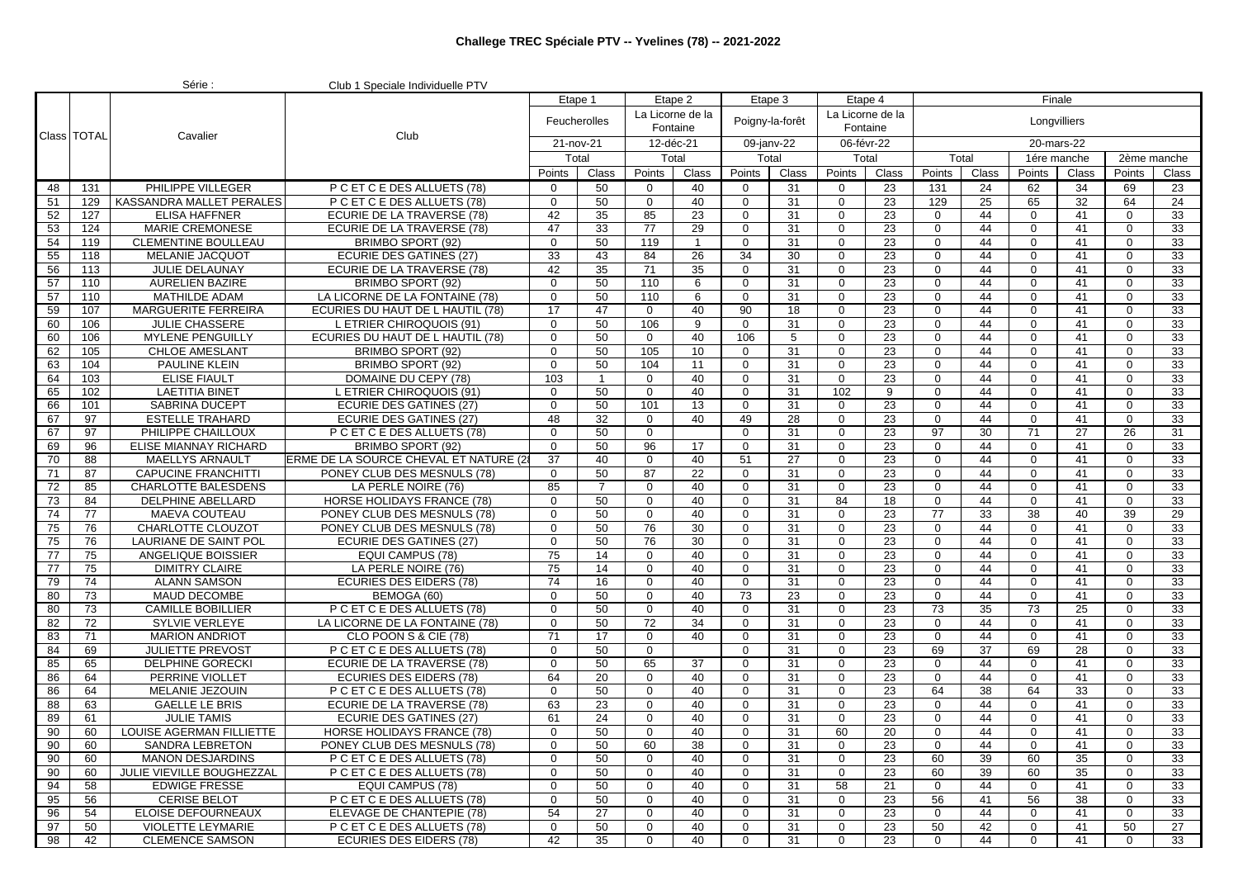|                 |               | Série :                                         | Club 1 Speciale Individuelle PTV              |                   |                           |                            |                              |                   |            |                              |          |                         |          |                            |          |               |                 |
|-----------------|---------------|-------------------------------------------------|-----------------------------------------------|-------------------|---------------------------|----------------------------|------------------------------|-------------------|------------|------------------------------|----------|-------------------------|----------|----------------------------|----------|---------------|-----------------|
|                 |               |                                                 |                                               | Etape 1           |                           | Etape 2                    |                              |                   | Etape 3    | Etape 4                      |          |                         |          | Finale                     |          |               |                 |
|                 |               |                                                 |                                               |                   | Feucherolles<br>21-nov-21 |                            | La Licorne de la<br>Fontaine | Poigny-la-forêt   |            | La Licorne de la<br>Fontaine |          |                         |          | Longvilliers               |          |               |                 |
|                 | Class   TOTAL | Cavalier                                        | Club                                          |                   |                           |                            | 12-déc-21                    |                   | 09-janv-22 | 06-févr-22                   |          |                         |          | 20-mars-22                 |          |               |                 |
|                 |               |                                                 |                                               | Total             |                           | Total                      |                              |                   | Total      | Total                        |          |                         | Total    | 1ére manche                |          | 2ème manche   |                 |
|                 |               |                                                 |                                               | Points            | Class                     | Points                     | Class                        | Points            | Class      | Points                       | Class    | Points                  | Class    | Points                     | Class    | Points        | Class           |
| 48              | 131           | PHILIPPE VILLEGER                               | P C ET C E DES ALLUETS (78)                   | 0                 | 50                        | $\overline{0}$             | 40                           | $\mathbf{0}$      | 31         | $\mathbf 0$                  | 23       | 131                     | 24       | 62                         | 34       | 69            | 23              |
| 51              | 129           | KASSANDRA MALLET PERALES                        | P C ET C E DES ALLUETS (78)                   | $\mathbf 0$       | 50                        | $\mathbf 0$                | 40                           | $\mathbf 0$       | 31         | $\mathbf 0$                  | 23       | 129                     | 25       | 65                         | 32       | 64            | $\overline{24}$ |
| 52              | 127           | <b>ELISA HAFFNER</b>                            | ECURIE DE LA TRAVERSE (78)                    | 42                | 35                        | 85                         | 23                           | $\mathbf 0$       | 31         | $\mathbf 0$                  | 23       | $\mathbf 0$             | 44       | $\mathbf{0}$               | 41       | 0             | 33              |
| 53              | 124           | <b>MARIE CREMONESE</b>                          | ECURIE DE LA TRAVERSE (78)                    | 47                | 33                        | 77                         | 29                           | $\mathbf 0$       | 31         | $\Omega$                     | 23       | $\mathbf 0$             | 44       | $\Omega$                   | 41       | 0             | 33              |
| 54              | 119           | <b>CLEMENTINE BOULLEAU</b>                      | BRIMBO SPORT (92)                             | $\mathbf 0$       | 50                        | 119                        | $\overline{1}$               | $\mathbf 0$       | 31         | $\Omega$                     | 23       | $\mathbf 0$             | 44       | $\Omega$                   | 41       | 0             | 33              |
| 55              | 118           | <b>MELANIE JACQUOT</b>                          | <b>ECURIE DES GATINES (27)</b>                | 33                | 43                        | 84                         | 26                           | 34                | 30         | $\mathbf 0$                  | 23       | $\mathbf 0$             | 44       | 0                          | 41       | $\mathbf 0$   | 33              |
| 56              | 113           | <b>JULIE DELAUNAY</b>                           | ECURIE DE LA TRAVERSE (78)                    | 42                | 35                        | 71                         | 35                           | $\mathbf 0$       | 31         | $\mathbf 0$                  | 23       | $\mathbf 0$             | 44       | 0                          | 41       | 0             | 33              |
| $\overline{57}$ | 110           | <b>AURELIEN BAZIRE</b>                          | BRIMBO SPORT (92)                             | $\mathbf 0$       | 50                        | 110                        | 6                            | $\mathbf 0$       | 31         | $\mathbf 0$                  | 23       | $\mathbf 0$             | 44       | 0                          | 41       | 0             | 33              |
| 57              | 110           | <b>MATHILDE ADAM</b>                            | LA LICORNE DE LA FONTAINE (78)                | $\mathbf 0$       | 50                        | 110                        | 6                            | $\mathbf 0$       | 31         | $\Omega$                     | 23       | $\mathbf 0$             | 44       | $\Omega$                   | 41       | 0             | 33              |
| 59              | 107           | <b>MARGUERITE FERREIRA</b>                      | ECURIES DU HAUT DE L HAUTIL (78)              | 17                | 47                        | $\Omega$                   | 40                           | 90                | 18         | $\Omega$                     | 23       | $\Omega$                | 44       | $\Omega$                   | 41       | $\Omega$      | 33              |
| 60              | 106           | <b>JULIE CHASSERE</b>                           | L ETRIER CHIROQUOIS (91)                      | $\Omega$          | 50                        | 106                        | 9                            | $\Omega$          | 31         | $\Omega$                     | 23       | $\Omega$                | 44       | $\Omega$                   | 41       | $\mathbf 0$   | 33              |
| 60              | 106           | <b>MYLENE PENGUILLY</b>                         | ECURIES DU HAUT DE L HAUTIL (78)              | $\mathbf 0$       | 50                        | $\mathbf 0$                | 40                           | 106               | 5          | $\Omega$                     | 23       | $\mathbf 0$             | 44       | 0                          | 41       | 0             | 33              |
| 62              | 105           | <b>CHLOE AMESLANT</b>                           | BRIMBO SPORT (92)                             | $\mathbf 0$       | 50                        | 105                        | 10                           | $\mathbf 0$       | 31         | $\mathbf 0$                  | 23       | $\mathbf 0$             | 44       | 0                          | 41       | 0             | 33              |
| 63              | 104           | <b>PAULINE KLEIN</b>                            | BRIMBO SPORT (92)                             | $\mathbf{0}$      | 50                        | 104                        | 11                           | $\mathbf 0$       | 31         | $\mathbf 0$                  | 23       | $\mathbf 0$             | 44       | 0                          | 41       | 0             | 33              |
| 64              | 103           | <b>ELISE FIAULT</b>                             | DOMAINE DU CEPY (78)                          | 103               | $\overline{1}$            | $\mathbf 0$                | 40                           | $\mathbf 0$       | 31         | 0                            | 23       | $\mathbf 0$             | 44       | 0                          | 41       | 0             | 33              |
| 65              | 102           | <b>LAETITIA BINET</b>                           | L ETRIER CHIROQUOIS (91)                      | $\mathbf 0$       | 50                        | $\mathbf 0$                | 40                           | $\mathbf 0$       | 31         | 102                          | 9        | $\mathbf 0$             | 44       | $\Omega$                   | 41       | 0             | 33              |
| 66              | 101           | <b>SABRINA DUCEPT</b>                           | <b>ECURIE DES GATINES (27)</b>                | $\mathbf 0$       | 50                        | 101                        | 13                           | $\mathbf 0$       | 31         | $\Omega$                     | 23       | $\mathbf 0$             | 44       | $\mathbf 0$                | 41       | 0             | 33              |
| 67              | 97            | <b>ESTELLE TRAHARD</b>                          | ECURIE DES GATINES (27)                       | 48                | 32                        | $\Omega$                   | 40                           | 49                | 28         | $\Omega$                     | 23       | $\mathbf 0$             | 44       | 0                          | 41       | 0             | 33              |
| 67              | 97            | PHILIPPE CHAILLOUX                              | P C ET C E DES ALLUETS (78)                   | $\mathbf 0$       | 50                        | $\mathbf{0}$               |                              | $\mathbf 0$       | 31         | $\mathbf 0$                  | 23       | 97                      | 30       | 71                         | 27       | 26            | 31              |
| 69              | 96            | ELISE MIANNAY RICHARD                           | BRIMBO SPORT (92)                             | $\mathbf 0$       | 50                        | 96                         | 17                           | $\mathbf 0$       | 31         | $\mathbf 0$                  | 23       | $\mathbf 0$             | 44       | 0                          | 41       | $\Omega$      | 33              |
| 70              | 88            | <b>MAELLYS ARNAULT</b>                          | ERME DE LA SOURCE CHEVAL ET NATURE (2         | 37                | 40                        | $\mathbf 0$                | 40                           | 51                | 27         | 0                            | 23       | $\mathbf 0$             | 44       | $\mathbf 0$                | 41       | 0             | 33              |
| 71              | 87            | <b>CAPUCINE FRANCHITTI</b>                      | PONEY CLUB DES MESNULS (78)                   | $\Omega$          | 50                        | 87                         | 22                           | $\mathbf 0$       | 31         | $\Omega$                     | 23       | $\mathbf 0$             | 44       | $\Omega$                   | 41       | 0             | 33              |
| 72              | 85            | <b>CHARLOTTE BALESDENS</b>                      | LA PERLE NOIRE (76)                           | 85                | $\overline{7}$            | $\Omega$                   | 40                           | $\Omega$          | 31         | $\Omega$                     | 23       | $\Omega$                | 44       | $\Omega$                   | 41       | $\Omega$      | 33              |
| 73              | 84            | <b>DELPHINE ABELLARD</b>                        | HORSE HOLIDAYS FRANCE (78)                    | $\mathbf 0$       | 50                        | $\mathbf 0$                | 40                           | $\mathbf 0$       | 31         | 84                           | 18       | $\mathbf 0$             | 44       | 0                          | 41       | 0             | 33              |
| 74              | 77            | <b>MAEVA COUTEAU</b>                            | PONEY CLUB DES MESNULS (78)                   | $\mathbf 0$       | 50                        | 0                          | 40                           | $\mathbf 0$       | 31         | $\Omega$                     | 23       | 77                      | 33       | 38                         | 40       | 39            | $\overline{29}$ |
| 75              | 76            | CHARLOTTE CLOUZOT                               | PONEY CLUB DES MESNULS (78)                   | $\mathbf 0$       | 50                        | 76                         | 30                           | $\mathbf 0$       | 31         | $\Omega$                     | 23       | $\mathbf 0$             | 44       | $\Omega$                   | 41       | $\Omega$      | 33              |
| 75              | 76            | LAURIANE DE SAINT POL                           | ECURIE DES GATINES (27)                       | $\mathbf 0$       | 50                        | 76                         | 30                           | $\mathbf 0$       | 31         | 0                            | 23       | $\mathbf 0$             | 44       | 0                          | 41       | 0             | 33              |
| 77              | 75            | ANGELIQUE BOISSIER                              | <b>EQUI CAMPUS (78)</b>                       | 75                | 14                        | $\mathbf 0$                | 40                           | $\mathbf 0$       | 31         | 0                            | 23       | $\mathbf 0$             | 44       | 0                          | 41       | 0             | 33              |
| 77              | 75            | <b>DIMITRY CLAIRE</b>                           | LA PERLE NOIRE (76)                           | 75                | 14                        | $\Omega$                   | 40                           | $\mathbf 0$       | 31         | $\Omega$<br>$\Omega$         | 23       | $\mathbf 0$<br>$\Omega$ | 44       | $\overline{0}$<br>$\Omega$ | 41       | $\mathbf 0$   | 33<br>33        |
| 79              | 74            | <b>ALANN SAMSON</b>                             | <b>ECURIES DES EIDERS (78)</b><br>BEMOGA (60) | 74<br>$\mathbf 0$ | 16<br>50                  | $\mathbf 0$                | 40<br>40                     | $\mathbf 0$       | 31         | $\mathbf 0$                  | 23<br>23 | $\mathbf 0$             | 44<br>44 | $\mathbf 0$                | 41<br>41 | 0             | 33              |
| 80<br>80        | 73<br>73      | <b>MAUD DECOMBE</b><br><b>CAMILLE BOBILLIER</b> | P C ET C E DES ALLUETS (78)                   | $\Omega$          | 50                        | $\mathbf 0$<br>$\mathbf 0$ | 40                           | 73<br>$\mathbf 0$ | 23<br>31   | $\mathbf 0$                  | 23       | 73                      | 35       | 73                         | 25       | 0<br>$\Omega$ | 33              |
| 82              | 72            | <b>SYLVIE VERLEYE</b>                           | LA LICORNE DE LA FONTAINE (78)                | $\mathbf 0$       | 50                        | 72                         | 34                           | $\mathbf 0$       | 31         | 0                            | 23       | $\mathbf 0$             | 44       | $\mathbf 0$                | 41       | 0             | 33              |
| 83              | 71            | <b>MARION ANDRIOT</b>                           | CLO POON S & CIE (78)                         | 71                | 17                        | $\Omega$                   | 40                           | $\Omega$          | 31         | $\Omega$                     | 23       | $\mathbf 0$             | 44       | $\Omega$                   | 41       | $\Omega$      | 33              |
| 84              | 69            | <b>JULIETTE PREVOST</b>                         | P C ET C E DES ALLUETS (78)                   | $\Omega$          | 50                        | $\mathbf 0$                |                              | $\mathbf 0$       | 31         | $\Omega$                     | 23       | 69                      | 37       | 69                         | 28       | 0             | 33              |
| 85              | 65            | <b>DELPHINE GORECKI</b>                         | ECURIE DE LA TRAVERSE (78)                    | $\mathbf 0$       | 50                        | 65                         | 37                           | $\mathbf 0$       | 31         | $\Omega$                     | 23       | $\mathbf 0$             | 44       | 0                          | 41       | $\mathbf 0$   | 33              |
| 86              | 64            | PERRINE VIOLLET                                 | <b>ECURIES DES EIDERS (78)</b>                | 64                | 20                        | 0                          | 40                           | $\mathbf 0$       | 31         | $\Omega$                     | 23       | $\mathbf 0$             | 44       | 0                          | 41       | 0             | 33              |
| 86              | 64            | MELANIE JEZOUIN                                 | P C ET C E DES ALLUETS (78)                   | $\mathbf 0$       | 50                        | $\mathbf 0$                | 40                           | $\mathbf 0$       | 31         | 0                            | 23       | 64                      | 38       | 64                         | 33       | 0             | 33              |
| 88              | 63            | <b>GAELLE LE BRIS</b>                           | ECURIE DE LA TRAVERSE (78)                    | 63                | 23                        | 0                          | 40                           | $\mathbf 0$       | 31         | $\Omega$                     | 23       | $\mathbf 0$             | 44       | $\Omega$                   | 41       | 0             | 33              |
| 89              | 61            | <b>JULIE TAMIS</b>                              | <b>ECURIE DES GATINES (27)</b>                | 61                | 24                        | $\mathbf 0$                | 40                           | $\mathbf 0$       | 31         | 0                            | 23       | 0                       | 44       | $\mathbf{0}$               | 41       | $\mathbf{0}$  | 33              |
| 90              | 60            | LOUISE AGERMAN FILLIETTE                        | <b>HORSE HOLIDAYS FRANCE (78)</b>             | $\Omega$          | 50                        | $\Omega$                   | 40                           | $\Omega$          | 31         | 60                           | 20       | $\Omega$                | 44       | $\Omega$                   | 41       | $\Omega$      | 33              |
| 90              | 60            | SANDRA LEBRETON                                 | PONEY CLUB DES MESNULS (78)                   | $\mathbf 0$       | 50                        | 60                         | 38                           | $\mathbf{0}$      | 31         | $\mathbf 0$                  | 23       | $\mathbf 0$             | 44       | $\mathbf{0}$               | 41       | $\mathbf{0}$  | 33              |
| 90              | 60            | <b>MANON DESJARDINS</b>                         | P C ET C E DES ALLUETS (78)                   | $\mathbf{0}$      | 50                        | $\overline{0}$             | 40                           | 0                 | 31         | 0                            | 23       | 60                      | 39       | 60                         | 35       | $\mathbf{0}$  | 33              |
| 90              | 60            | JULIE VIEVILLE BOUGHEZZAL                       | P C ET C E DES ALLUETS (78)                   | $\mathbf 0$       | 50                        | $\overline{0}$             | 40                           | $\mathbf{0}$      | 31         | $\mathbf 0$                  | 23       | 60                      | 39       | 60                         | 35       | $\mathbf 0$   | 33              |
| 94              | 58            | <b>EDWIGE FRESSE</b>                            | EQUI CAMPUS (78)                              | $\mathbf 0$       | 50                        | $\mathbf 0$                | 40                           | $\mathbf 0$       | 31         | 58                           | 21       | $\mathbf 0$             | 44       | $\mathbf 0$                | 41       | $\mathbf{0}$  | 33              |
| 95              | 56            | <b>CERISE BELOT</b>                             | P C ET C E DES ALLUETS (78)                   | $\mathbf 0$       | 50                        | $\mathbf 0$                | 40                           | $\mathbf 0$       | 31         | $\mathbf 0$                  | 23       | 56                      | 41       | 56                         | 38       | 0             | 33              |
| 96              | 54            | ELOISE DEFOURNEAUX                              | ELEVAGE DE CHANTEPIE (78)                     | 54                | 27                        | $\mathbf 0$                | 40                           | $\mathbf 0$       | 31         | $\mathbf 0$                  | 23       | $\mathbf 0$             | 44       | $\mathbf 0$                | 41       | $\mathbf{0}$  | 33              |
| 97              | 50            | VIOLETTE LEYMARIE                               | P C ET C E DES ALLUETS (78)                   | $\mathbf{0}$      | 50                        | 0                          | 40                           | 0                 | 31         | 0                            | 23       | 50                      | 42       | 0                          | 41       | 50            | 27              |
| 98              | 42            | <b>CLEMENCE SAMSON</b>                          | <b>ECURIES DES EIDERS (78)</b>                | 42                | 35                        | $\overline{0}$             | 40                           | $\mathbf{0}$      | 31         | $\mathbf 0$                  | 23       | $\overline{0}$          | 44       | $\mathbf 0$                | 41       | $\mathbf{0}$  | 33              |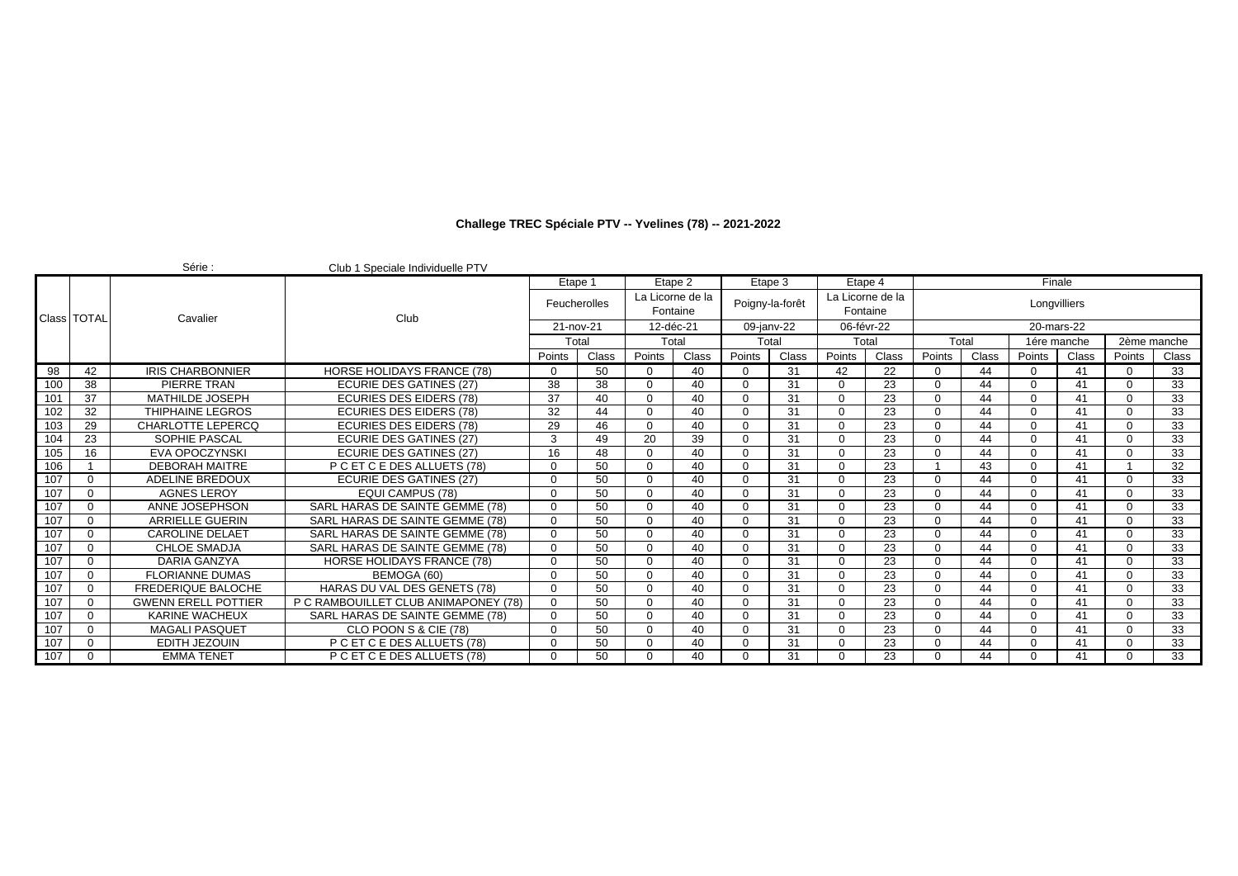|     |             | Série:                     | Club 1 Speciale Individuelle PTV     |           |              |           |                              |             |                 |                              |       |        |       |              |       |              |                 |
|-----|-------------|----------------------------|--------------------------------------|-----------|--------------|-----------|------------------------------|-------------|-----------------|------------------------------|-------|--------|-------|--------------|-------|--------------|-----------------|
|     |             |                            |                                      | Etape 1   |              | Etape 2   |                              | Etape 3     |                 | Etape 4                      |       |        |       | Finale       |       |              |                 |
|     | Class TOTAL | Cavalier                   | Club                                 |           | Feucherolles |           | La Licorne de la<br>Fontaine |             | Poigny-la-forêt | La Licorne de la<br>Fontaine |       |        |       | Longvilliers |       |              |                 |
|     |             |                            |                                      | 21-nov-21 |              | 12-déc-21 |                              | 09-janv-22  |                 | 06-févr-22                   |       |        |       | 20-mars-22   |       |              |                 |
|     |             |                            |                                      | Total     |              | Total     |                              | Total       |                 | Total                        |       | Total  |       | 1ére manche  |       | 2ème manche  |                 |
|     |             |                            |                                      | Points    | Class        | Points    | Class                        | Points      | Class           | Points                       | Class | Points | Class | Points       | Class | Points       | Class           |
| 98  | 42          | <b>IRIS CHARBONNIER</b>    | <b>HORSE HOLIDAYS FRANCE (78)</b>    | $\Omega$  | 50           | $\Omega$  | 40                           | $\Omega$    | 31              | 42                           | 22    |        | 44    |              | 41    | $\Omega$     | 33              |
| 100 | 38          | PIERRE TRAN                | <b>ECURIE DES GATINES (27)</b>       | 38        | 38           | $\Omega$  | 40                           | $\Omega$    | 31              | $\Omega$                     | 23    |        | 44    |              | 41    | $\Omega$     | 33              |
| 101 | 37          | <b>MATHILDE JOSEPH</b>     | <b>ECURIES DES EIDERS (78)</b>       | 37        | 40           | $\Omega$  | 40                           | $\Omega$    | 31              | $\Omega$                     | 23    |        | 44    | ∩            | 41    | $\Omega$     | 33              |
| 102 | 32          | THIPHAINE LEGROS           | <b>ECURIES DES EIDERS (78)</b>       | 32        | 44           | $\Omega$  | 40                           | $\Omega$    | 31              | $\Omega$                     | 23    |        | 44    | U            | 41    | $\Omega$     | 33              |
| 103 | 29          | CHARLOTTE LEPERCO          | <b>ECURIES DES EIDERS (78)</b>       | 29        | 46           | $\Omega$  | 40                           | $\Omega$    | 31              | $\Omega$                     | 23    |        | 44    | U            | 41    | $\Omega$     | 33              |
| 104 | 23          | SOPHIE PASCAL              | <b>ECURIE DES GATINES (27)</b>       | 3         | 49           | 20        | 39                           | $\Omega$    | 31              | $\Omega$                     | 23    |        | 44    | $\Omega$     | 41    | $\Omega$     | 33              |
| 105 | 16          | <b>EVA OPOCZYNSKI</b>      | <b>ECURIE DES GATINES (27)</b>       | 16        | 48           | $\Omega$  | 40                           | $\mathbf 0$ | 31              | $\Omega$                     | 23    |        | 44    | U            | 41    | $\Omega$     | 33              |
| 106 |             | <b>DEBORAH MAITRE</b>      | P C ET C E DES ALLUETS (78)          | $\Omega$  | 50           | $\Omega$  | 40                           | $\Omega$    | 31              | $\Omega$                     | 23    |        | 43    | U            | 41    |              | 32              |
| 107 |             | ADELINE BREDOUX            | <b>ECURIE DES GATINES (27)</b>       | $\Omega$  | 50           | $\Omega$  | 40                           | $\Omega$    | 31              | $\Omega$                     | 23    |        | 44    | ∩            | 41    | $\Omega$     | 33              |
| 107 |             | <b>AGNES LEROY</b>         | <b>EQUI CAMPUS (78)</b>              | $\Omega$  | 50           | $\Omega$  | 40                           | $\Omega$    | 31              | $\Omega$                     | 23    |        | 44    | U            | 41    | $\Omega$     | 33              |
| 107 |             | ANNE JOSEPHSON             | SARL HARAS DE SAINTE GEMME (78)      | $\Omega$  | 50           | $\Omega$  | 40                           | $\Omega$    | 31              | $\Omega$                     | 23    |        | 44    | ∩            | 41    | $\Omega$     | 33              |
| 107 |             | <b>ARRIELLE GUERIN</b>     | SARL HARAS DE SAINTE GEMME (78)      | $\Omega$  | 50           | $\Omega$  | 40                           | $\Omega$    | 31              | $\Omega$                     | 23    |        | 44    | n            | 41    | $\Omega$     | $\overline{33}$ |
| 107 |             | <b>CAROLINE DELAET</b>     | SARL HARAS DE SAINTE GEMME (78)      | $\Omega$  | 50           | $\Omega$  | 40                           | $\Omega$    | 31              | $\Omega$                     | 23    |        | 44    |              | 41    | $\Omega$     | 33              |
| 107 |             | <b>CHLOE SMADJA</b>        | SARL HARAS DE SAINTE GEMME (78)      | $\Omega$  | 50           | $\Omega$  | 40                           | $\Omega$    | 31              | $\Omega$                     | 23    |        | 44    | U            | 41    | $\Omega$     | 33              |
| 107 |             | <b>DARIA GANZYA</b>        | HORSE HOLIDAYS FRANCE (78)           | $\Omega$  | 50           | $\Omega$  | 40                           | $\Omega$    | 31              | $\Omega$                     | 23    |        | 44    | ∩            | 41    | $\Omega$     | 33              |
| 107 |             | <b>FLORIANNE DUMAS</b>     | BEMOGA (60)                          | $\Omega$  | 50           | $\Omega$  | 40                           | $\Omega$    | 31              | $\Omega$                     | 23    |        | 44    | U            | 41    | $\Omega$     | 33              |
| 107 |             | <b>FREDERIQUE BALOCHE</b>  | HARAS DU VAL DES GENETS (78)         | $\Omega$  | 50           | $\Omega$  | 40                           | $\Omega$    | 31              | $\Omega$                     | 23    |        | 44    | n            | 41    | $\Omega$     | 33              |
| 107 | $\Omega$    | <b>GWENN ERELL POTTIER</b> | P C RAMBOUILLET CLUB ANIMAPONEY (78) | $\Omega$  | 50           | $\Omega$  | 40                           | $\Omega$    | 31              | $\Omega$                     | 23    |        | 44    | U            | 41    | $\Omega$     | 33              |
| 107 |             | KARINE WACHEUX             | SARL HARAS DE SAINTE GEMME (78)      | $\Omega$  | 50           | $\Omega$  | 40                           | $\Omega$    | 31              | $\Omega$                     | 23    |        | 44    | U            | 41    | $\Omega$     | 33              |
| 107 |             | <b>MAGALI PASQUET</b>      | CLO POON S & CIE (78)                | $\Omega$  | 50           | $\Omega$  | 40                           | $\Omega$    | 31              | $\Omega$                     | 23    |        | 44    | O            | 41    | $\Omega$     | 33              |
| 107 |             | <b>EDITH JEZOUIN</b>       | P C ET C E DES ALLUETS (78)          | $\Omega$  | 50           | $\Omega$  | 40                           | $\Omega$    | 31              | $\Omega$                     | 23    |        | 44    | ∩            | 41    | $\Omega$     | 33              |
| 107 | $\Omega$    | <b>EMMA TENET</b>          | P C ET C E DES ALLUETS (78)          | $\Omega$  | 50           | $\Omega$  | 40                           | $\Omega$    | 31              | $\Omega$                     | 23    |        | 44    |              | 41    | <sup>n</sup> | $\overline{33}$ |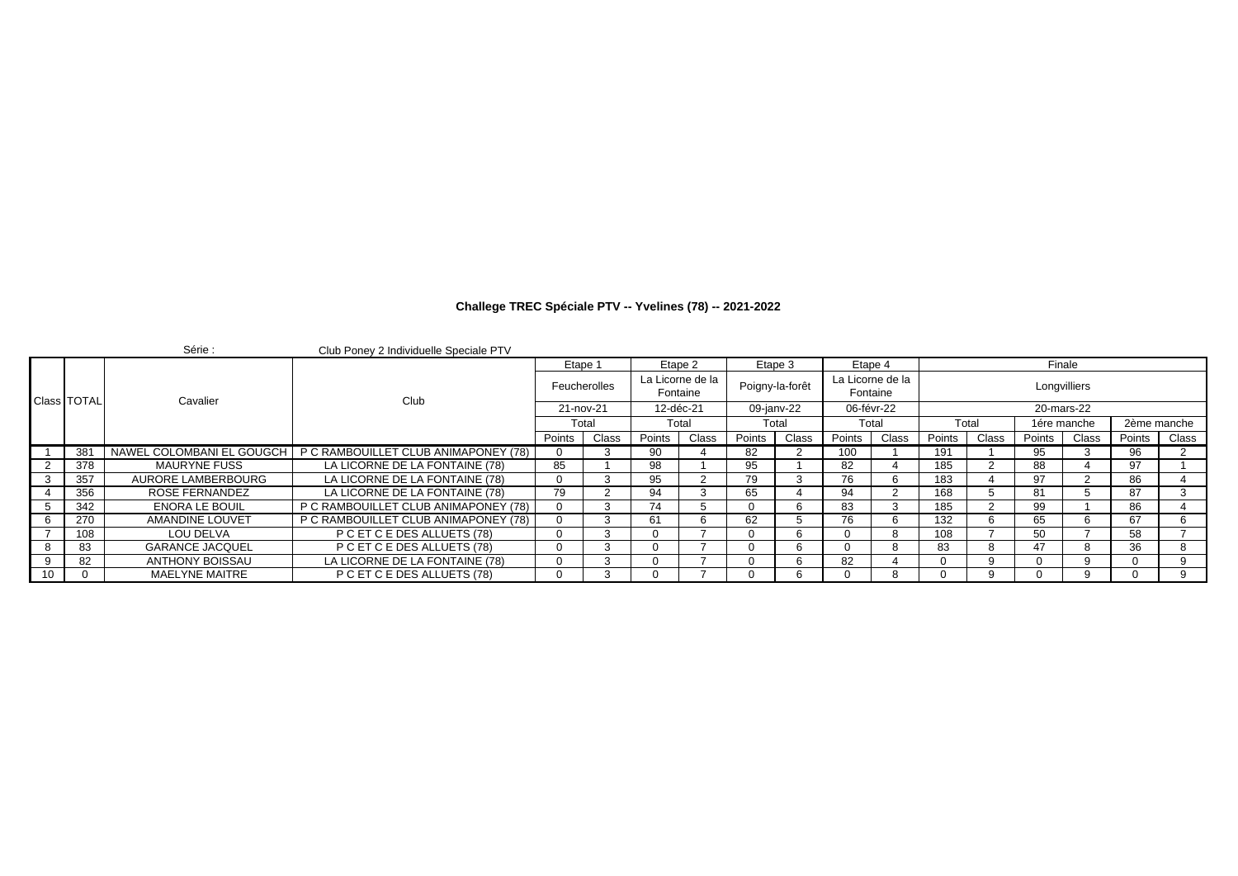|    |                    | Série :                   | Club Poney 2 Individuelle Speciale PTV |              |       |           |                              |                 |       |                              |       |        |       |              |       |             |       |
|----|--------------------|---------------------------|----------------------------------------|--------------|-------|-----------|------------------------------|-----------------|-------|------------------------------|-------|--------|-------|--------------|-------|-------------|-------|
|    |                    |                           |                                        | Etape 1      |       | Etape 2   |                              | Etape 3         |       | Etape 4                      |       |        |       | Finale       |       |             |       |
|    | <b>Class TOTAL</b> | Cavalier                  | Club                                   | Feucherolles |       |           | La Licorne de la<br>Fontaine | Poigny-la-forêt |       | La Licorne de la<br>Fontaine |       |        |       | Longvilliers |       |             |       |
|    |                    |                           |                                        | 21-nov-21    |       | 12-déc-21 |                              | 09-janv-22      |       | 06-févr-22                   |       |        |       | 20-mars-22   |       |             |       |
|    |                    |                           |                                        | Total        |       |           | Total                        |                 | Total |                              | Total | Total  |       | 1ére manche  |       | 2ème manche |       |
|    |                    |                           |                                        | Points       | Class | Points    | Class                        | Points          | Class | Points                       | Class | Points | Class | Points       | Class | Points      | Class |
|    | 381                | NAWEL COLOMBANI EL GOUGCH | P C RAMBOUILLET CLUB ANIMAPONEY (78)   |              |       | -90       |                              | 82              |       | 100                          |       | 19٬    |       | 95           |       | 96          |       |
|    | 378                | <b>MAURYNE FUSS</b>       | LA LICORNE DE LA FONTAINE (78)         | 85           |       | 98        |                              | 95              |       | 82                           |       | 185    |       | 88           |       | 97          |       |
|    | 357                | AURORE LAMBERBOURG        | LA LICORNE DE LA FONTAINE (78)         |              |       | 95        |                              | 79              |       | 76                           |       | 183    |       | 97           |       | 86          |       |
|    | 356                | ROSE FERNANDEZ            | LA LICORNE DE LA FONTAINE (78)         | 79           |       | 94        |                              | 65              |       | 94                           |       | 168    |       | 81           |       | 87          |       |
|    | 342                | <b>ENORA LE BOUIL</b>     | P C RAMBOUILLET CLUB ANIMAPONEY (78)   |              |       | 74        |                              |                 |       | 83                           |       | 185    |       | 99           |       | 86          |       |
|    | 270                | AMANDINE LOUVET           | P C RAMBOUILLET CLUB ANIMAPONEY (78)   |              |       | 61        |                              | 62              |       | 76                           |       | 132    |       | 65           |       | 67          | 6     |
|    | 108                | LOU DELVA                 | P C ET C E DES ALLUETS (78)            |              |       |           |                              |                 |       |                              |       | 108    |       | 50           |       | 58          |       |
|    | 83                 | <b>GARANCE JACQUEL</b>    | P C ET C E DES ALLUETS (78)            |              |       |           |                              |                 |       |                              |       | 83     |       | 47           |       | 36          | 8     |
|    | 82                 | ANTHONY BOISSAU           | LA LICORNE DE LA FONTAINE (78)         |              |       |           |                              |                 |       | 82                           |       |        |       |              |       |             | 9     |
| 10 |                    | MAELYNE MAITRE            | P C ET C E DES ALLUETS (78)            |              |       |           |                              |                 |       |                              |       |        |       |              |       |             | 9     |